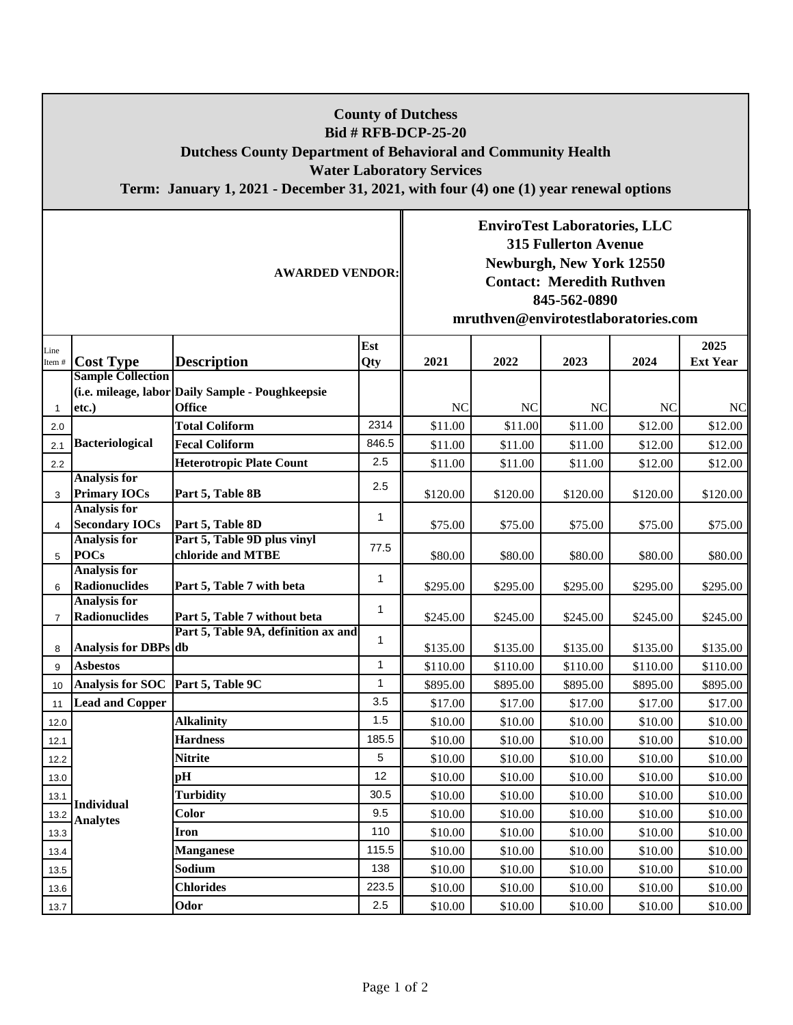| <b>County of Dutchess</b><br><b>Bid # RFB-DCP-25-20</b><br><b>Dutchess County Department of Behavioral and Community Health</b><br><b>Water Laboratory Services</b><br>Term: January 1, 2021 - December 31, 2021, with four (4) one (1) year renewal options |                                              |                                                                   |              |                                                                                                                                                                                           |           |           |          |                         |  |  |  |  |
|--------------------------------------------------------------------------------------------------------------------------------------------------------------------------------------------------------------------------------------------------------------|----------------------------------------------|-------------------------------------------------------------------|--------------|-------------------------------------------------------------------------------------------------------------------------------------------------------------------------------------------|-----------|-----------|----------|-------------------------|--|--|--|--|
| <b>AWARDED VENDOR:</b>                                                                                                                                                                                                                                       |                                              |                                                                   |              | <b>EnviroTest Laboratories, LLC</b><br><b>315 Fullerton Avenue</b><br>Newburgh, New York 12550<br><b>Contact: Meredith Ruthven</b><br>845-562-0890<br>mruthven@envirotestlaboratories.com |           |           |          |                         |  |  |  |  |
| Line<br>Item $#$                                                                                                                                                                                                                                             | <b>Cost Type</b>                             | <b>Description</b>                                                | Est<br>Qty   | 2021                                                                                                                                                                                      | 2022      | 2023      | 2024     | 2025<br><b>Ext Year</b> |  |  |  |  |
| 1                                                                                                                                                                                                                                                            | <b>Sample Collection</b><br>etc.)            | (i.e. mileage, labor Daily Sample - Poughkeepsie<br><b>Office</b> |              | NC                                                                                                                                                                                        | <b>NC</b> | <b>NC</b> | $\rm NC$ | <b>NC</b>               |  |  |  |  |
| 2.0                                                                                                                                                                                                                                                          |                                              | <b>Total Coliform</b>                                             | 2314         | \$11.00                                                                                                                                                                                   | \$11.00   | \$11.00   | \$12.00  | \$12.00                 |  |  |  |  |
| 2.1                                                                                                                                                                                                                                                          | <b>Bacteriological</b>                       | <b>Fecal Coliform</b>                                             | 846.5        | \$11.00                                                                                                                                                                                   | \$11.00   | \$11.00   | \$12.00  | \$12.00                 |  |  |  |  |
| 2.2                                                                                                                                                                                                                                                          |                                              | <b>Heterotropic Plate Count</b>                                   | 2.5          | \$11.00                                                                                                                                                                                   | \$11.00   | \$11.00   | \$12.00  | \$12.00                 |  |  |  |  |
| 3                                                                                                                                                                                                                                                            | <b>Analysis for</b><br><b>Primary IOCs</b>   | Part 5, Table 8B                                                  | 2.5          | \$120.00                                                                                                                                                                                  | \$120.00  | \$120.00  | \$120.00 | \$120.00                |  |  |  |  |
| $\overline{4}$                                                                                                                                                                                                                                               | <b>Analysis for</b><br><b>Secondary IOCs</b> | Part 5, Table 8D                                                  | 1            | \$75.00                                                                                                                                                                                   | \$75.00   | \$75.00   | \$75.00  | \$75.00                 |  |  |  |  |
| 5                                                                                                                                                                                                                                                            | <b>Analysis for</b><br><b>POCs</b>           | Part 5, Table 9D plus vinyl<br>chloride and MTBE                  | 77.5         | \$80.00                                                                                                                                                                                   | \$80.00   | \$80.00   | \$80.00  | \$80.00                 |  |  |  |  |
| 6                                                                                                                                                                                                                                                            | <b>Analysis for</b><br>Radionuclides         | Part 5, Table 7 with beta                                         | 1            | \$295.00                                                                                                                                                                                  | \$295.00  | \$295.00  | \$295.00 | \$295.00                |  |  |  |  |
| $\overline{7}$                                                                                                                                                                                                                                               | <b>Analysis for</b><br>Radionuclides         | Part 5, Table 7 without beta                                      | 1            | \$245.00                                                                                                                                                                                  | \$245.00  | \$245.00  | \$245.00 | \$245.00                |  |  |  |  |
|                                                                                                                                                                                                                                                              |                                              | Part 5, Table 9A, definition ax and                               | 1            |                                                                                                                                                                                           |           |           |          |                         |  |  |  |  |
| 8                                                                                                                                                                                                                                                            | Analysis for DBPs db                         |                                                                   |              | \$135.00                                                                                                                                                                                  | \$135.00  | \$135.00  | \$135.00 | \$135.00                |  |  |  |  |
| 9                                                                                                                                                                                                                                                            | <b>Asbestos</b>                              |                                                                   | 1            | \$110.00                                                                                                                                                                                  | \$110.00  | \$110.00  | \$110.00 | \$110.00                |  |  |  |  |
| 10                                                                                                                                                                                                                                                           | Analysis for SOC Part 5, Table 9C            |                                                                   | $\mathbf{1}$ | \$895.00                                                                                                                                                                                  | \$895.00  | \$895.00  | \$895.00 | \$895.00                |  |  |  |  |
| 11                                                                                                                                                                                                                                                           | <b>Lead and Copper</b>                       |                                                                   | 3.5          | \$17.00                                                                                                                                                                                   | \$17.00   | \$17.00   | \$17.00  | \$17.00                 |  |  |  |  |
| 12.0                                                                                                                                                                                                                                                         |                                              | <b>Alkalinity</b>                                                 | 1.5          | \$10.00                                                                                                                                                                                   | \$10.00   | \$10.00   | \$10.00  | \$10.00                 |  |  |  |  |
| 12.1                                                                                                                                                                                                                                                         |                                              | <b>Hardness</b>                                                   | 185.5        | \$10.00                                                                                                                                                                                   | \$10.00   | \$10.00   | \$10.00  | \$10.00                 |  |  |  |  |
| 12.2                                                                                                                                                                                                                                                         | <b>Individual</b><br><b>Analytes</b>         | <b>Nitrite</b>                                                    | 5            | \$10.00                                                                                                                                                                                   | \$10.00   | \$10.00   | \$10.00  | \$10.00                 |  |  |  |  |
| 13.0                                                                                                                                                                                                                                                         |                                              | pH                                                                | 12           | \$10.00                                                                                                                                                                                   | \$10.00   | \$10.00   | \$10.00  | \$10.00                 |  |  |  |  |
| 13.1                                                                                                                                                                                                                                                         |                                              | <b>Turbidity</b>                                                  | 30.5         | \$10.00                                                                                                                                                                                   | \$10.00   | \$10.00   | \$10.00  | \$10.00                 |  |  |  |  |
| 13.2                                                                                                                                                                                                                                                         |                                              | Color                                                             | 9.5          | \$10.00                                                                                                                                                                                   | \$10.00   | \$10.00   | \$10.00  | \$10.00                 |  |  |  |  |
| 13.3                                                                                                                                                                                                                                                         |                                              | <b>Iron</b>                                                       | 110          | \$10.00                                                                                                                                                                                   | \$10.00   | \$10.00   | \$10.00  | \$10.00                 |  |  |  |  |
| 13.4                                                                                                                                                                                                                                                         |                                              | <b>Manganese</b>                                                  | 115.5        | \$10.00                                                                                                                                                                                   | \$10.00   | \$10.00   | \$10.00  | \$10.00                 |  |  |  |  |
| 13.5                                                                                                                                                                                                                                                         |                                              | Sodium                                                            | 138          | \$10.00                                                                                                                                                                                   | \$10.00   | \$10.00   | \$10.00  | \$10.00                 |  |  |  |  |
| 13.6                                                                                                                                                                                                                                                         |                                              | <b>Chlorides</b>                                                  | 223.5        | \$10.00                                                                                                                                                                                   | \$10.00   | \$10.00   | \$10.00  | \$10.00                 |  |  |  |  |
| 13.7                                                                                                                                                                                                                                                         |                                              | Odor                                                              | 2.5          | \$10.00                                                                                                                                                                                   | \$10.00   | \$10.00   | \$10.00  | \$10.00                 |  |  |  |  |